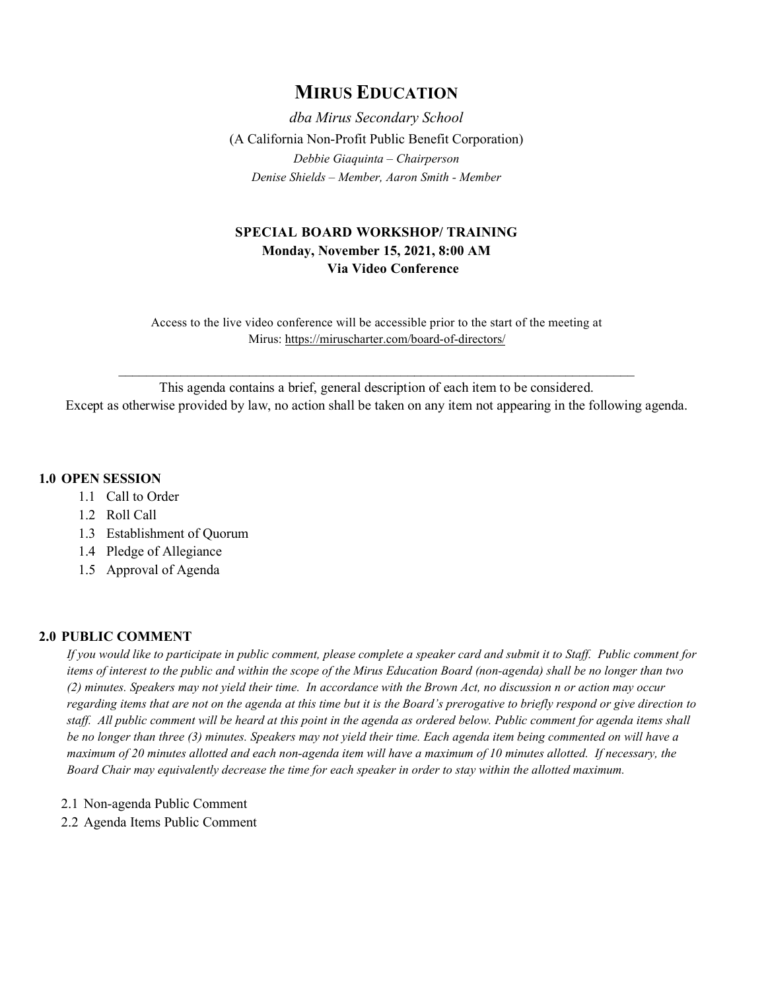# **MIRUS EDUCATION**

*dba Mirus Secondary School* (A California Non-Profit Public Benefit Corporation) *Debbie Giaquinta – Chairperson Denise Shields – Member, Aaron Smith - Member*

# **SPECIAL BOARD WORKSHOP/ TRAINING Monday, November 15, 2021, 8:00 AM Via Video Conference**

Access to the live video conference will be accessible prior to the start of the meeting at Mirus:<https://miruscharter.com/board-of-directors/>

This agenda contains a brief, general description of each item to be considered. Except as otherwise provided by law, no action shall be taken on any item not appearing in the following agenda.

\_\_\_\_\_\_\_\_\_\_\_\_\_\_\_\_\_\_\_\_\_\_\_\_\_\_\_\_\_\_\_\_\_\_\_\_\_\_\_\_\_\_\_\_\_\_\_\_\_\_\_\_\_\_\_\_\_\_\_\_\_\_\_\_\_\_\_\_\_\_\_\_\_\_\_

## **1.0 OPEN SESSION**

- 1.1 Call to Order
- 1.2 Roll Call
- 1.3 Establishment of Quorum
- 1.4 Pledge of Allegiance
- 1.5 Approval of Agenda

# **2.0 PUBLIC COMMENT**

*If you would like to participate in public comment, please complete a speaker card and submit it to Staff. Public comment for items of interest to the public and within the scope of the Mirus Education Board (non-agenda) shall be no longer than two (2) minutes. Speakers may not yield their time. In accordance with the Brown Act, no discussion n or action may occur regarding items that are not on the agenda at this time but it is the Board's prerogative to briefly respond or give direction to staff. All public comment will be heard at this point in the agenda as ordered below. Public comment for agenda items shall be no longer than three (3) minutes. Speakers may not yield their time. Each agenda item being commented on will have a maximum of 20 minutes allotted and each non-agenda item will have a maximum of 10 minutes allotted. If necessary, the Board Chair may equivalently decrease the time for each speaker in order to stay within the allotted maximum.*

- 2.1 Non-agenda Public Comment
- 2.2 Agenda Items Public Comment